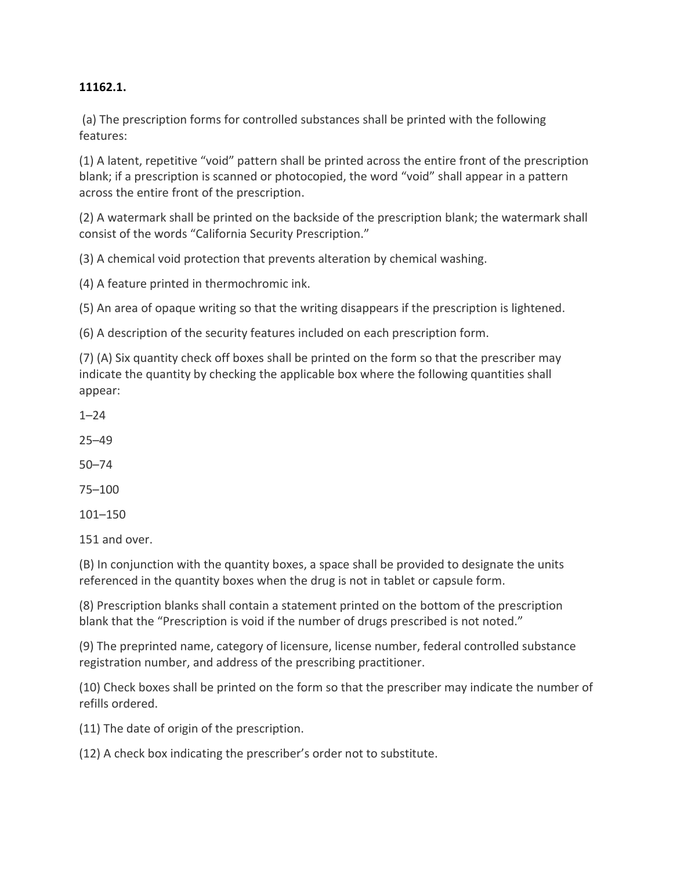## **11162.1.**

(a) The prescription forms for controlled substances shall be printed with the following features:

(1) A latent, repetitive "void" pattern shall be printed across the entire front of the prescription blank; if a prescription is scanned or photocopied, the word "void" shall appear in a pattern across the entire front of the prescription.

(2) A watermark shall be printed on the backside of the prescription blank; the watermark shall consist of the words "California Security Prescription."

(3) A chemical void protection that prevents alteration by chemical washing.

(4) A feature printed in thermochromic ink.

(5) An area of opaque writing so that the writing disappears if the prescription is lightened.

(6) A description of the security features included on each prescription form.

(7) (A) Six quantity check off boxes shall be printed on the form so that the prescriber may indicate the quantity by checking the applicable box where the following quantities shall appear:

1–24

25–49

50–74

75–100

101–150

151 and over.

(B) In conjunction with the quantity boxes, a space shall be provided to designate the units referenced in the quantity boxes when the drug is not in tablet or capsule form.

(8) Prescription blanks shall contain a statement printed on the bottom of the prescription blank that the "Prescription is void if the number of drugs prescribed is not noted."

(9) The preprinted name, category of licensure, license number, federal controlled substance registration number, and address of the prescribing practitioner.

(10) Check boxes shall be printed on the form so that the prescriber may indicate the number of refills ordered.

(11) The date of origin of the prescription.

(12) A check box indicating the prescriber's order not to substitute.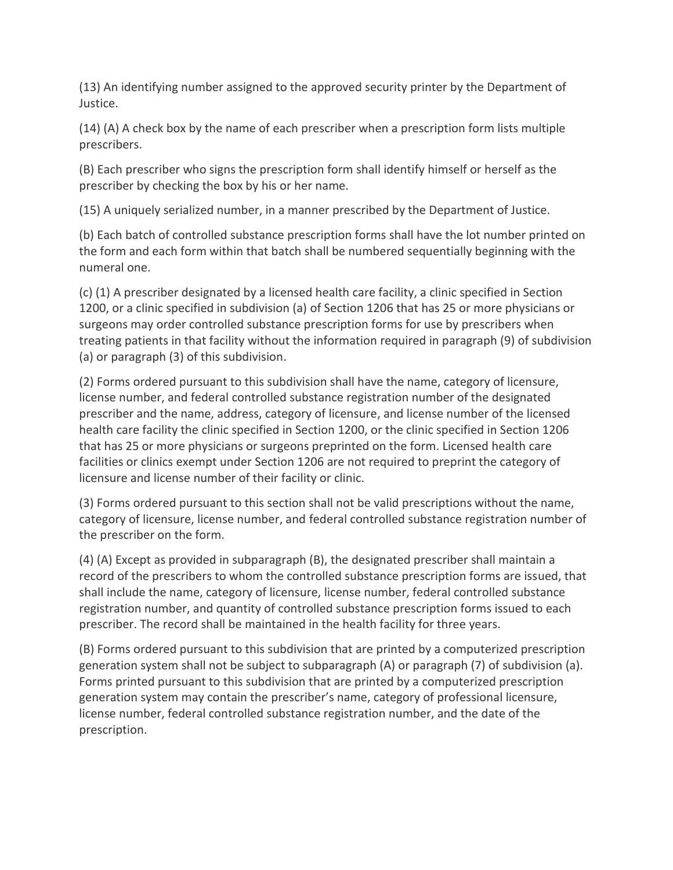(13) An identifying number assigned to the approved security printer by the Department of Justice.

(14) (A) A check box by the name of each prescriber when a prescription form lists multiple prescribers.

(B) Each prescriber who signs the prescription form shall identify himself or herself as the prescriber by checking the box by his or her name.

(15) A uniquely serialized number, in a manner prescribed by the Department of Justice.

(b) Each batch of controlled substance prescription forms shall have the lot number printed on the form and each form within that batch shall be numbered sequentially beginning with the numeral one.

(c) (1) A prescriber designated by a licensed health care facility, a clinic specified in Section 1200, or a clinic specified in subdivision (a) of Section 1206 that has 25 or more physicians or surgeons may order controlled substance prescription forms for use by prescribers when treating patients in that facility without the information required in paragraph (9) of subdivision (a) or paragraph (3) of this subdivision.

(2) Forms ordered pursuant to this subdivision shall have the name, category of licensure, license number, and federal controlled substance registration number of the designated prescriber and the name, address, category of licensure, and license number of the licensed health care facility the clinic specified in Section 1200, or the clinic specified in Section 1206 that has 25 or more physicians or surgeons preprinted on the form. Licensed health care facilities or clinics exempt under Section 1206 are not required to preprint the category of licensure and license number of their facility or clinic.

(3) Forms ordered pursuant to this section shall not be valid prescriptions without the name, category of licensure, license number, and federal controlled substance registration number of the prescriber on the form.

(4) (A) Except as provided in subparagraph (B), the designated prescriber shall maintain a record of the prescribers to whom the controlled substance prescription forms are issued, that shall include the name, category of licensure, license number, federal controlled substance registration number, and quantity of controlled substance prescription forms issued to each prescriber. The record shall be maintained in the health facility for three years.

(B) Forms ordered pursuant to this subdivision that are printed by a computerized prescription generation system shall not be subject to subparagraph (A) or paragraph (7) of subdivision (a). Forms printed pursuant to this subdivision that are printed by a computerized prescription generation system may contain the prescriber's name, category of professional licensure, license number, federal controlled substance registration number, and the date of the prescription.